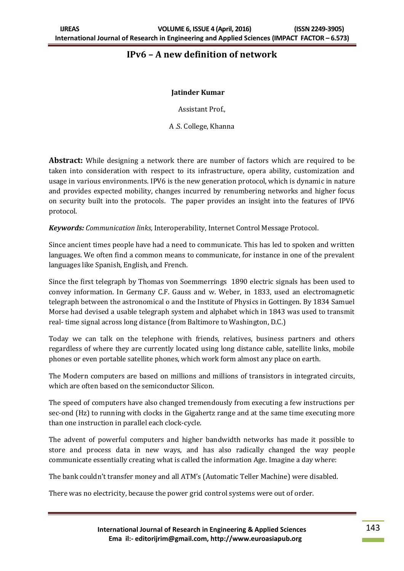# **IPv6 – A new definition of network**

### **Jatinder Kumar**

Assistant Prof.,

A .S. College, Khanna

**Abstract:** While designing a network there are number of factors which are required to be taken into consideration with respect to its infrastructure, opera ability, customization and usage in various environments. IPV6 is the new generation protocol, which is dynamic in nature and provides expected mobility, changes incurred by renumbering networks and higher focus on security built into the protocols. The paper provides an insight into the features of IPV6 protocol.

*Keywords: Communication links,* Interoperability, Internet Control Message Protocol.

Since ancient times people have had a need to communicate. This has led to spoken and written languages. We often find a common means to communicate, for instance in one of the prevalent languages like Spanish, English, and French.

Since the first telegraph by Thomas von Soemmerrings 1890 electric signals has been used to convey information. In Germany C.F. Gauss and w. Weber, in 1833, used an electromagnetic telegraph between the astronomical o and the Institute of Physics in Gottingen. By 1834 Samuel Morse had devised a usable telegraph system and alphabet which in 1843 was used to transmit real- time signal across long distance (from Baltimore to Washington, D.C.)

Today we can talk on the telephone with friends, relatives, business partners and others regardless of where they are currently located using long distance cable, satellite links, mobile phones or even portable satellite phones, which work form almost any place on earth.

The Modern computers are based on millions and millions of transistors in integrated circuits, which are often based on the semiconductor Silicon.

The speed of computers have also changed tremendously from executing a few instructions per sec-ond (Hz) to running with clocks in the Gigahertz range and at the same time executing more than one instruction in parallel each clock-cycle.

The advent of powerful computers and higher bandwidth networks has made it possible to store and process data in new ways, and has also radically changed the way people communicate essentially creating what is called the information Age. Imagine a day where:

The bank couldn't transfer money and all ATM's (Automatic Teller Machine) were disabled.

There was no electricity, because the power grid control systems were out of order.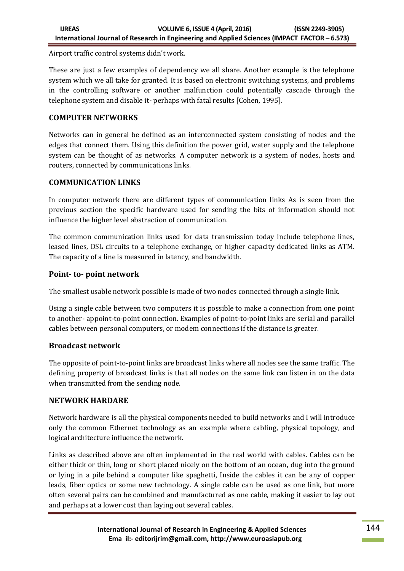Airport traffic control systems didn't work.

These are just a few examples of dependency we all share. Another example is the telephone system which we all take for granted. It is based on electronic switching systems, and problems in the controlling software or another malfunction could potentially cascade through the telephone system and disable it- perhaps with fatal results [Cohen, 1995].

# **COMPUTER NETWORKS**

Networks can in general be defined as an interconnected system consisting of nodes and the edges that connect them. Using this definition the power grid, water supply and the telephone system can be thought of as networks. A computer network is a system of nodes, hosts and routers, connected by communications links.

# **COMMUNICATION LINKS**

In computer network there are different types of communication links As is seen from the previous section the specific hardware used for sending the bits of information should not influence the higher level abstraction of communication.

The common communication links used for data transmission today include telephone lines, leased lines, DSL circuits to a telephone exchange, or higher capacity dedicated links as ATM. The capacity of a line is measured in latency, and bandwidth.

# **Point- to- point network**

The smallest usable network possible is made of two nodes connected through a single link.

Using a single cable between two computers it is possible to make a connection from one point to another- appoint-to-point connection. Examples of point-to-point links are serial and parallel cables between personal computers, or modem connections if the distance is greater.

# **Broadcast network**

The opposite of point-to-point links are broadcast links where all nodes see the same traffic. The defining property of broadcast links is that all nodes on the same link can listen in on the data when transmitted from the sending node.

# **NETWORK HARDARE**

Network hardware is all the physical components needed to build networks and I will introduce only the common Ethernet technology as an example where cabling, physical topology, and logical architecture influence the network.

Links as described above are often implemented in the real world with cables. Cables can be either thick or thin, long or short placed nicely on the bottom of an ocean, dug into the ground or lying in a pile behind a computer like spaghetti, Inside the cables it can be any of copper leads, fiber optics or some new technology. A single cable can be used as one link, but more often several pairs can be combined and manufactured as one cable, making it easier to lay out and perhaps at a lower cost than laying out several cables.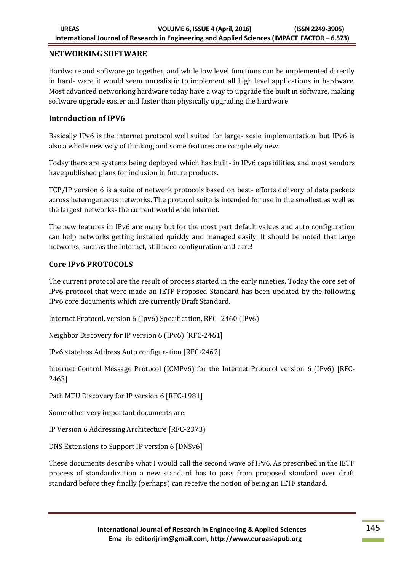### **NETWORKING SOFTWARE**

Hardware and software go together, and while low level functions can be implemented directly in hard- ware it would seem unrealistic to implement all high level applications in hardware. Most advanced networking hardware today have a way to upgrade the built in software, making software upgrade easier and faster than physically upgrading the hardware.

### **Introduction of IPV6**

Basically IPv6 is the internet protocol well suited for large- scale implementation, but IPv6 is also a whole new way of thinking and some features are completely new.

Today there are systems being deployed which has built- in IPv6 capabilities, and most vendors have published plans for inclusion in future products.

TCP/IP version 6 is a suite of network protocols based on best- efforts delivery of data packets across heterogeneous networks. The protocol suite is intended for use in the smallest as well as the largest networks- the current worldwide internet.

The new features in IPv6 are many but for the most part default values and auto configuration can help networks getting installed quickly and managed easily. It should be noted that large networks, such as the Internet, still need configuration and care!

### **Core IPv6 PROTOCOLS**

The current protocol are the result of process started in the early nineties. Today the core set of IPv6 protocol that were made an IETF Proposed Standard has been updated by the following IPv6 core documents which are currently Draft Standard.

Internet Protocol, version 6 (Ipv6) Specification, RFC -2460 (IPv6)

Neighbor Discovery for IP version 6 (IPv6) [RFC-2461]

IPv6 stateless Address Auto configuration [RFC-2462]

Internet Control Message Protocol (ICMPv6) for the Internet Protocol version 6 (IPv6) [RFC-2463]

Path MTU Discovery for IP version 6 [RFC-1981]

Some other very important documents are:

IP Version 6 Addressing Architecture [RFC-2373)

DNS Extensions to Support IP version 6 [DNSv6]

These documents describe what I would call the second wave of IPv6. As prescribed in the IETF process of standardization a new standard has to pass from proposed standard over draft standard before they finally (perhaps) can receive the notion of being an IETF standard.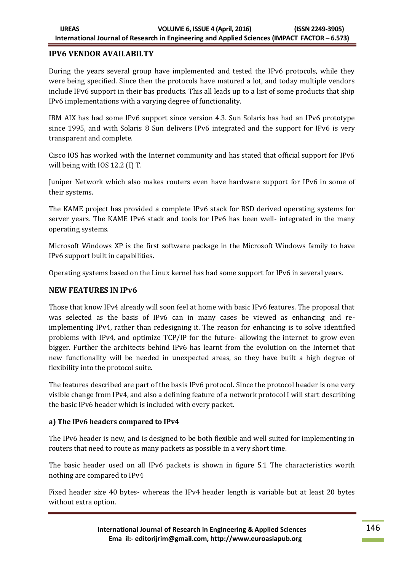### **IPV6 VENDOR AVAILABILTY**

During the years several group have implemented and tested the IPv6 protocols, while they were being specified. Since then the protocols have matured a lot, and today multiple vendors include IPv6 support in their bas products. This all leads up to a list of some products that ship IPv6 implementations with a varying degree of functionality.

IBM AIX has had some IPv6 support since version 4.3. Sun Solaris has had an IPv6 prototype since 1995, and with Solaris 8 Sun delivers IPv6 integrated and the support for IPv6 is very transparent and complete.

Cisco IOS has worked with the Internet community and has stated that official support for IPv6 will being with IOS 12.2 (I) T.

Juniper Network which also makes routers even have hardware support for IPv6 in some of their systems.

The KAME project has provided a complete IPv6 stack for BSD derived operating systems for server years. The KAME IPv6 stack and tools for IPv6 has been well- integrated in the many operating systems.

Microsoft Windows XP is the first software package in the Microsoft Windows family to have IPv6 support built in capabilities.

Operating systems based on the Linux kernel has had some support for IPv6 in several years.

# **NEW FEATURES IN IPv6**

Those that know IPv4 already will soon feel at home with basic IPv6 features. The proposal that was selected as the basis of IPv6 can in many cases be viewed as enhancing and reimplementing IPv4, rather than redesigning it. The reason for enhancing is to solve identified problems with IPv4, and optimize TCP/IP for the future- allowing the internet to grow even bigger. Further the architects behind IPv6 has learnt from the evolution on the Internet that new functionality will be needed in unexpected areas, so they have built a high degree of flexibility into the protocol suite.

The features described are part of the basis IPv6 protocol. Since the protocol header is one very visible change from IPv4, and also a defining feature of a network protocol I will start describing the basic IPv6 header which is included with every packet.

#### **a) The IPv6 headers compared to IPv4**

The IPv6 header is new, and is designed to be both flexible and well suited for implementing in routers that need to route as many packets as possible in a very short time.

The basic header used on all IPv6 packets is shown in figure 5.1 The characteristics worth nothing are compared to IPv4

Fixed header size 40 bytes- whereas the IPv4 header length is variable but at least 20 bytes without extra option.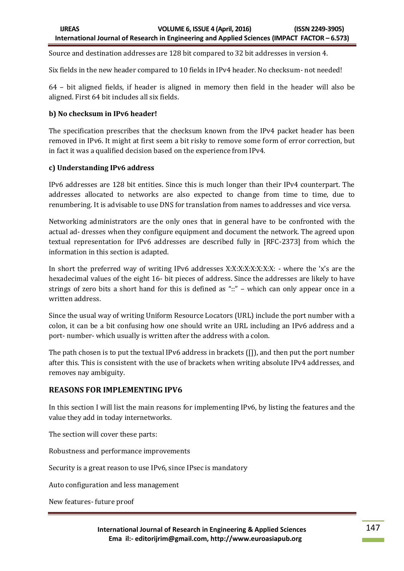Source and destination addresses are 128 bit compared to 32 bit addresses in version 4.

Six fields in the new header compared to 10 fields in IPv4 header. No checksum- not needed!

64 – bit aligned fields, if header is aligned in memory then field in the header will also be aligned. First 64 bit includes all six fields.

#### **b) No checksum in IPv6 header!**

The specification prescribes that the checksum known from the IPv4 packet header has been removed in IPv6. It might at first seem a bit risky to remove some form of error correction, but in fact it was a qualified decision based on the experience from IPv4.

#### **c) Understanding IPv6 address**

IPv6 addresses are 128 bit entities. Since this is much longer than their IPv4 counterpart. The addresses allocated to networks are also expected to change from time to time, due to renumbering. It is advisable to use DNS for translation from names to addresses and vice versa.

Networking administrators are the only ones that in general have to be confronted with the actual ad- dresses when they configure equipment and document the network. The agreed upon textual representation for IPv6 addresses are described fully in [RFC-2373] from which the information in this section is adapted.

In short the preferred way of writing IPv6 addresses X:X:X:X:X:X:X:X: - where the 'x's are the hexadecimal values of the eight 16- bit pieces of address. Since the addresses are likely to have strings of zero bits a short hand for this is defined as "::" – which can only appear once in a written address.

Since the usual way of writing Uniform Resource Locators (URL) include the port number with a colon, it can be a bit confusing how one should write an URL including an IPv6 address and a port- number- which usually is written after the address with a colon.

The path chosen is to put the textual IPv6 address in brackets ([]), and then put the port number after this. This is consistent with the use of brackets when writing absolute IPv4 addresses, and removes nay ambiguity.

#### **REASONS FOR IMPLEMENTING IPV6**

In this section I will list the main reasons for implementing IPv6, by listing the features and the value they add in today internetworks.

The section will cover these parts:

Robustness and performance improvements

Security is a great reason to use IPv6, since IPsec is mandatory

Auto configuration and less management

New features- future proof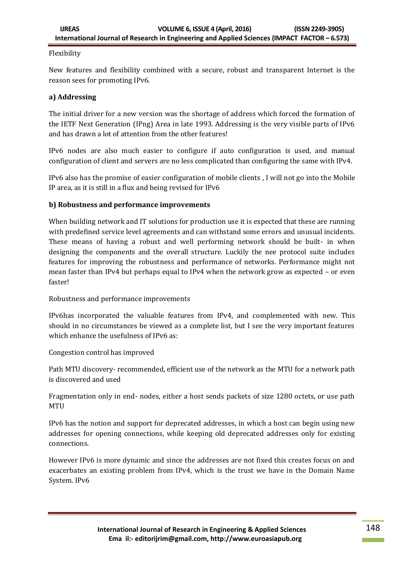### Flexibility

New features and flexibility combined with a secure, robust and transparent Internet is the reason sees for promoting IPv6.

### **a) Addressing**

The initial driver for a new version was the shortage of address which forced the formation of the IETF Next Generation (IPng) Area in late 1993. Addressing is the very visible parts of IPv6 and has drawn a lot of attention from the other features!

IPv6 nodes are also much easier to configure if auto configuration is used, and manual configuration of client and servers are no less complicated than configuring the same with IPv4.

IPv6 also has the promise of easier configuration of mobile clients , I will not go into the Mobile IP area, as it is still in a flux and being revised for IPv6

### **b) Robustness and performance improvements**

When building network and IT solutions for production use it is expected that these are running with predefined service level agreements and can withstand some errors and unusual incidents. These means of having a robust and well performing network should be built- in when designing the components and the overall structure. Luckily the nee protocol suite includes features for improving the robustness and performance of networks. Performance might not mean faster than IPv4 but perhaps equal to IPv4 when the network grow as expected – or even faster!

Robustness and performance improvements

IPv6has incorporated the valuable features from IPv4, and complemented with new. This should in no circumstances be viewed as a complete list, but I see the very important features which enhance the usefulness of IPv6 as:

Congestion control has improved

Path MTU discovery- recommended, efficient use of the network as the MTU for a network path is discovered and used

Fragmentation only in end- nodes, either a host sends packets of size 1280 octets, or use path **MTII** 

IPv6 has the notion and support for deprecated addresses, in which a host can begin using new addresses for opening connections, while keeping old deprecated addresses only for existing connections.

However IPv6 is more dynamic and since the addresses are not fixed this creates focus on and exacerbates an existing problem from IPv4, which is the trust we have in the Domain Name System. IPv6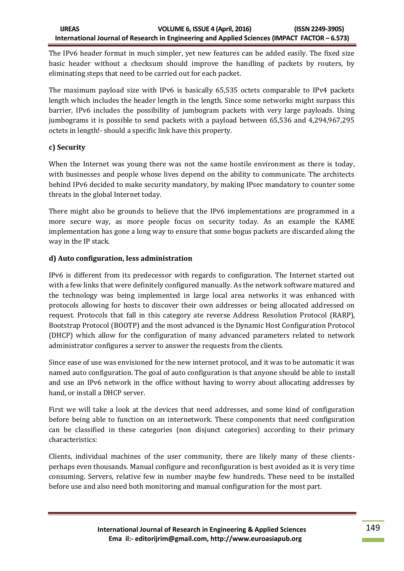The IPv6 header format in much simpler, yet new features can be added easily. The fixed size basic header without a checksum should improve the handling of packets by routers, by eliminating steps that need to be carried out for each packet.

The maximum payload size with IPv6 is basically 65,535 octets comparable to IPv4 packets length which includes the header length in the length. Since some networks might surpass this barrier, IPv6 includes the possibility of jumbogram packets with very large payloads. Using jumbograms it is possible to send packets with a payload between 65,536 and 4,294,967,295 octets in length!- should a specific link have this property.

# **c) Security**

When the Internet was young there was not the same hostile environment as there is today, with businesses and people whose lives depend on the ability to communicate. The architects behind IPv6 decided to make security mandatory, by making IPsec mandatory to counter some threats in the global Internet today.

There might also be grounds to believe that the IPv6 implementations are programmed in a more secure way, as more people focus on security today. As an example the KAME implementation has gone a long way to ensure that some bogus packets are discarded along the way in the IP stack.

# **d) Auto configuration, less administration**

IPv6 is different from its predecessor with regards to configuration. The Internet started out with a few links that were definitely configured manually. As the network software matured and the technology was being implemented in large local area networks it was enhanced with protocols allowing for hosts to discover their own addresses or being allocated addressed on request. Protocols that fall in this category ate reverse Address Resolution Protocol (RARP), Bootstrap Protocol (BOOTP) and the most advanced is the Dynamic Host Configuration Protocol (DHCP) which allow for the configuration of many advanced parameters related to network administrator configures a server to answer the requests from the clients.

Since ease of use was envisioned for the new internet protocol, and it was to be automatic it was named auto configuration. The goal of auto configuration is that anyone should be able to install and use an IPv6 network in the office without having to worry about allocating addresses by hand, or install a DHCP server.

First we will take a look at the devices that need addresses, and some kind of configuration before being able to function on an internetwork. These components that need configuration can be classified in these categories (non disjunct categories) according to their primary characteristics:

Clients, individual machines of the user community, there are likely many of these clientsperhaps even thousands. Manual configure and reconfiguration is best avoided as it is very time consuming. Servers, relative few in number maybe few hundreds. These need to be installed before use and also need both monitoring and manual configuration for the most part.